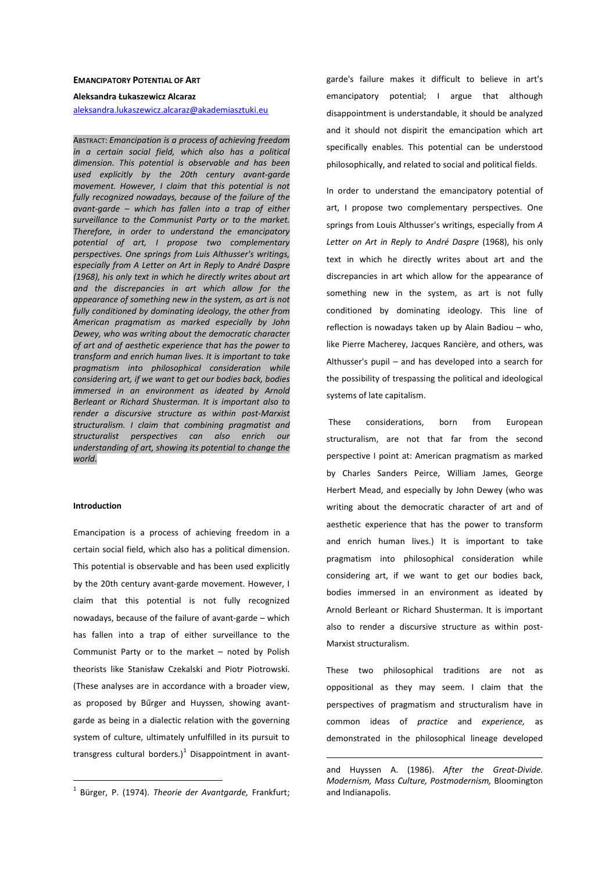### **EMANCIPATORY POTENTIAL OF ART**

#### **Aleksandra Łukaszewicz Alcaraz**

aleksandra.lukaszewicz.alcaraz@akademiasztuki.eu

ABSTRACT: *Emancipation is a process of achieving freedom in a certain social field, which also has a political dimension. This potential is observable and has been used explicitly by the 20th century avant-garde movement. However, I claim that this potential is not fully recognized nowadays, because of the failure of the avant-garde – which has fallen into a trap of either surveillance to the Communist Party or to the market. Therefore, in order to understand the emancipatory potential of art, I propose two complementary perspectives. One springs from Luis Althusser's writings, especially from A Letter on Art in Reply to André Daspre (1968), his only text in which he directly writes about art and the discrepancies in art which allow for the appearance of something new in the system, as art is not fully conditioned by dominating ideology, the other from American pragmatism as marked especially by John Dewey, who was writing about the democratic character of art and of aesthetic experience that has the power to transform and enrich human lives. It is important to take pragmatism into philosophical consideration while considering art, if we want to get our bodies back, bodies immersed in an environment as ideated by Arnold Berleant or Richard Shusterman. It is important also to render a discursive structure as within post-Marxist structuralism. I claim that combining pragmatist and structuralist perspectives can also enrich our understanding of art, showing its potential to change the world.* 

## **Introduction**

 $\overline{a}$ 

Emancipation is a process of achieving freedom in a certain social field, which also has a political dimension. This potential is observable and has been used explicitly by the 20th century avant-garde movement. However, I claim that this potential is not fully recognized nowadays, because of the failure of avant-garde – which has fallen into a trap of either surveillance to the Communist Party or to the market – noted by Polish theorists like Stanisław Czekalski and Piotr Piotrowski. (These analyses are in accordance with a broader view, as proposed by Bűrger and Huyssen, showing avantgarde as being in a dialectic relation with the governing system of culture, ultimately unfulfilled in its pursuit to transgress cultural borders.)<sup>1</sup> Disappointment in avantgarde's failure makes it difficult to believe in art's emancipatory potential; I argue that although disappointment is understandable, it should be analyzed and it should not dispirit the emancipation which art specifically enables. This potential can be understood philosophically, and related to social and political fields.

In order to understand the emancipatory potential of art, I propose two complementary perspectives. One springs from Louis Althusser's writings, especially from *A Letter on Art in Reply to André Daspre* (1968), his only text in which he directly writes about art and the discrepancies in art which allow for the appearance of something new in the system, as art is not fully conditioned by dominating ideology. This line of reflection is nowadays taken up by Alain Badiou – who, like Pierre Macherey, Jacques Rancière, and others, was Althusser's pupil – and has developed into a search for the possibility of trespassing the political and ideological systems of late capitalism.

 These considerations, born from European structuralism, are not that far from the second perspective I point at: American pragmatism as marked by Charles Sanders Peirce, William James, George Herbert Mead, and especially by John Dewey (who was writing about the democratic character of art and of aesthetic experience that has the power to transform and enrich human lives.) It is important to take pragmatism into philosophical consideration while considering art, if we want to get our bodies back, bodies immersed in an environment as ideated by Arnold Berleant or Richard Shusterman. It is important also to render a discursive structure as within post-Marxist structuralism.

These two philosophical traditions are not as oppositional as they may seem. I claim that the perspectives of pragmatism and structuralism have in common ideas of *practice* and *experience,* as demonstrated in the philosophical lineage developed

<sup>1</sup> Bürger, P. (1974). *Theorie der Avantgarde,* Frankfurt;

and Huyssen A. (1986). *After the Great-Divide. Modernism, Mass Culture, Postmodernism,* Bloomington and Indianapolis.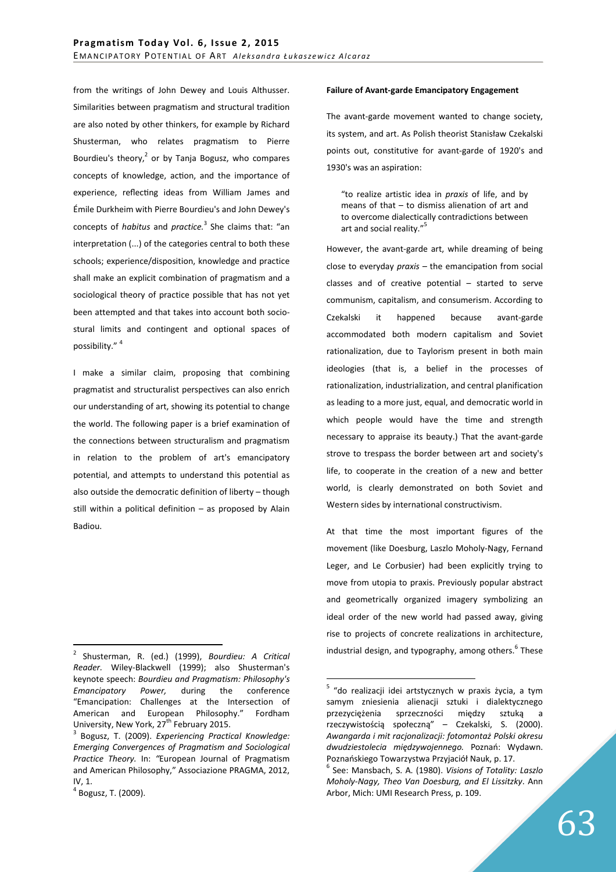from the writings of John Dewey and Louis Althusser. Similarities between pragmatism and structural tradition are also noted by other thinkers, for example by Richard Shusterman, who relates pragmatism to Pierre Bourdieu's theory, $2$  or by Tanja Bogusz, who compares concepts of knowledge, action, and the importance of experience, reflecing ideas from William James and Émile Durkheim with Pierre Bourdieu's and John Dewey's concepts of *habitus* and *practice.*<sup>3</sup> She claims that: "an interpretation (...) of the categories central to both these schools; experience/disposition, knowledge and practice shall make an explicit combination of pragmatism and a sociological theory of practice possible that has not yet been attempted and that takes into account both sociostural limits and contingent and optional spaces of possibility." <sup>4</sup>

I make a similar claim, proposing that combining pragmatist and structuralist perspectives can also enrich our understanding of art, showing its potential to change the world. The following paper is a brief examination of the connections between structuralism and pragmatism in relation to the problem of art's emancipatory potential, and attempts to understand this potential as also outside the democratic definition of liberty – though still within a political definition – as proposed by Alain Badiou.

 $\overline{a}$ 

## **Failure of Avant-garde Emancipatory Engagement**

The avant-garde movement wanted to change society, its system, and art. As Polish theorist Stanisław Czekalski points out, constitutive for avant-garde of 1920's and 1930's was an aspiration:

"to realize artistic idea in *praxis* of life, and by means of that – to dismiss alienation of art and to overcome dialectically contradictions between art and social reality."<sup>5</sup>

However, the avant-garde art, while dreaming of being close to everyday *praxis –* the emancipation from social classes and of creative potential – started to serve communism, capitalism, and consumerism. According to Czekalski it happened because avant-garde accommodated both modern capitalism and Soviet rationalization, due to Taylorism present in both main ideologies (that is, a belief in the processes of rationalization, industrialization, and central planification as leading to a more just, equal, and democratic world in which people would have the time and strength necessary to appraise its beauty.) That the avant-garde strove to trespass the border between art and society's life, to cooperate in the creation of a new and better world, is clearly demonstrated on both Soviet and Western sides by international constructivism.

At that time the most important figures of the movement (like Doesburg, Laszlo Moholy-Nagy, Fernand Leger, and Le Corbusier) had been explicitly trying to move from utopia to praxis. Previously popular abstract and geometrically organized imagery symbolizing an ideal order of the new world had passed away, giving rise to projects of concrete realizations in architecture, industrial design, and typography, among others.<sup>6</sup> These

<sup>2</sup> Shusterman, R. (ed.) (1999), *Bourdieu: A Critical Reader.* Wiley-Blackwell (1999); also Shusterman's keynote speech: *Bourdieu and Pragmatism: Philosophy's Emancipatory Power,* during the conference "Emancipation: Challenges at the Intersection of American and European Philosophy." Fordham University, New York, 27<sup>th</sup> February 2015.

<sup>3</sup> Bogusz, T. (2009). *Experiencing Practical Knowledge: Emerging Convergences of Pragmatism and Sociological Practice Theory.* In: *"*European Journal of Pragmatism and American Philosophy," Associazione PRAGMA, 2012, IV, 1.

<sup>4</sup> Bogusz, T. (2009).

<sup>&</sup>lt;sup>5</sup> "do realizacji idei artstycznych w praxis życia, a tym samym zniesienia alienacji sztuki i dialektycznego przezyciężenia sprzeczności między sztuką a rzeczywistością społeczną" – Czekalski, S. (2000). *Awangarda i mit racjonalizacji: fotomontaż Polski okresu dwudziestolecia międzywojennego.* Poznań: Wydawn. Poznańskiego Towarzystwa Przyjaciół Nauk, p. 17.

<sup>6</sup> See: Mansbach, S. A. (1980). *Visions of Totality: Laszlo Moholy-Nagy, Theo Van Doesburg, and El Lissitzky*. Ann Arbor, Mich: UMI Research Press, p. 109.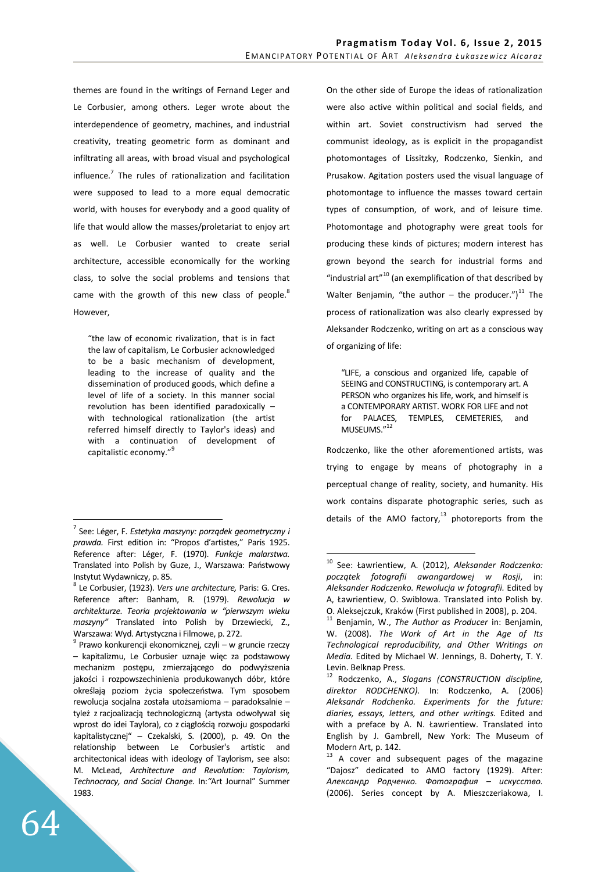themes are found in the writings of Fernand Leger and Le Corbusier, among others. Leger wrote about the interdependence of geometry, machines, and industrial creativity, treating geometric form as dominant and infiltrating all areas, with broad visual and psychological influence.<sup>7</sup> The rules of rationalization and facilitation were supposed to lead to a more equal democratic world, with houses for everybody and a good quality of life that would allow the masses/proletariat to enjoy art as well. Le Corbusier wanted to create serial architecture, accessible economically for the working class, to solve the social problems and tensions that came with the growth of this new class of people.<sup>8</sup> However,

"the law of economic rivalization, that is in fact the law of capitalism, Le Corbusier acknowledged to be a basic mechanism of development, leading to the increase of quality and the dissemination of produced goods, which define a level of life of a society. In this manner social revolution has been identified paradoxically – with technological rationalization (the artist referred himself directly to Taylor's ideas) and with a continuation of development of capitalistic economy."<sup>9</sup>

<sup>9</sup> Prawo konkurencji ekonomicznej, czyli – w gruncie rzeczy – kapitalizmu, Le Corbusier uznaje więc za podstawowy mechanizm postępu, zmierzającego do podwyższenia jakości i rozpowszechinienia produkowanych dóbr, które określają poziom życia społeczeństwa. Tym sposobem rewolucja socjalna została utożsamioma – paradoksalnie – tyleż z racjoalizacją technologiczną (artysta odwoływał się wprost do idei Taylora), co z ciągłością rozwoju gospodarki kapitalistycznej" – Czekalski, S. (2000), p. 49. On the relationship between Le Corbusier's artistic and architectonical ideas with ideology of Taylorism, see also: M. McLead, *Architecture and Revolution: Taylorism, Technocracy, and Social Change.* In:*"*Art Journal" Summer 1983.

On the other side of Europe the ideas of rationalization were also active within political and social fields, and within art. Soviet constructivism had served the communist ideology, as is explicit in the propagandist photomontages of Lissitzky, Rodczenko, Sienkin, and Prusakow. Agitation posters used the visual language of photomontage to influence the masses toward certain types of consumption, of work, and of leisure time. Photomontage and photography were great tools for producing these kinds of pictures; modern interest has grown beyond the search for industrial forms and "industrial art" $^{10}$  (an exemplification of that described by Walter Benjamin, "the author  $-$  the producer.")<sup>11</sup> The process of rationalization was also clearly expressed by Aleksander Rodczenko, writing on art as a conscious way of organizing of life:

"LIFE, a conscious and organized life, capable of SEEING and CONSTRUCTING, is contemporary art. A PERSON who organizes his life, work, and himself is a CONTEMPORARY ARTIST. WORK FOR LIFE and not for PALACES, TEMPLES, CEMETERIES, and MUSEUMS."<sup>12</sup>

Rodczenko, like the other aforementioned artists, was trying to engage by means of photography in a perceptual change of reality, society, and humanity. His work contains disparate photographic series, such as details of the AMO factory, $13$  photoreports from the

 $\overline{a}$ 7 See: Léger, F. *Estetyka maszyny: porządek geometryczny i prawda.* First edition in: "Propos d'artistes," Paris 1925. Reference after: Léger, F. (1970). *Funkcje malarstwa.*  Translated into Polish by Guze, J., Warszawa: Państwowy Instytut Wydawniczy, p. 85.

<sup>8</sup> Le Corbusier, (1923). *Vers une architecture,* Paris: G. Cres. Reference after: Banham, R. (1979). *Rewolucja w architekturze. Teoria projektowania w "pierwszym wieku maszyny"* Translated into Polish by Drzewiecki, Z., Warszawa: Wyd. Artystyczna i Filmowe, p. 272.

<sup>10</sup> See: Ławrientiew, A. (2012), *Aleksander Rodczenko: początek fotografii awangardowej w Rosji*, in: *Aleksander Rodczenko. Rewolucja w fotografii.* Edited by A, Ławrientiew, O. Swibłowa. Translated into Polish by. O. Aleksejczuk, Kraków (First published in 2008), p. 204.

<sup>11</sup> Benjamin, W., *The Author as Producer* in: Benjamin, W. (2008). *The Work of Art in the Age of Its Technological reproducibility, and Other Writings on Media.* Edited by Michael W. Jennings, B. Doherty, T. Y. Levin. Belknap Press.

<sup>12</sup> Rodczenko, A., *Slogans (CONSTRUCTION discipline, direktor RODCHENKO).* In: Rodczenko, A. (2006) *Aleksandr Rodchenko. Experiments for the future: diaries, essays, letters, and other writings.* Edited and with a preface by A. N. Ławrientiew. Translated into English by J. Gambrell, New York: The Museum of Modern Art, p. 142.

<sup>&</sup>lt;sup>13</sup> A cover and subsequent pages of the magazine "Dajosz" dedicated to AMO factory (1929). After: *Алексан*д*р Ро*д*ченко. Фотография – искусство.*  (2006). Series concept by A. Mieszczeriakowa, I.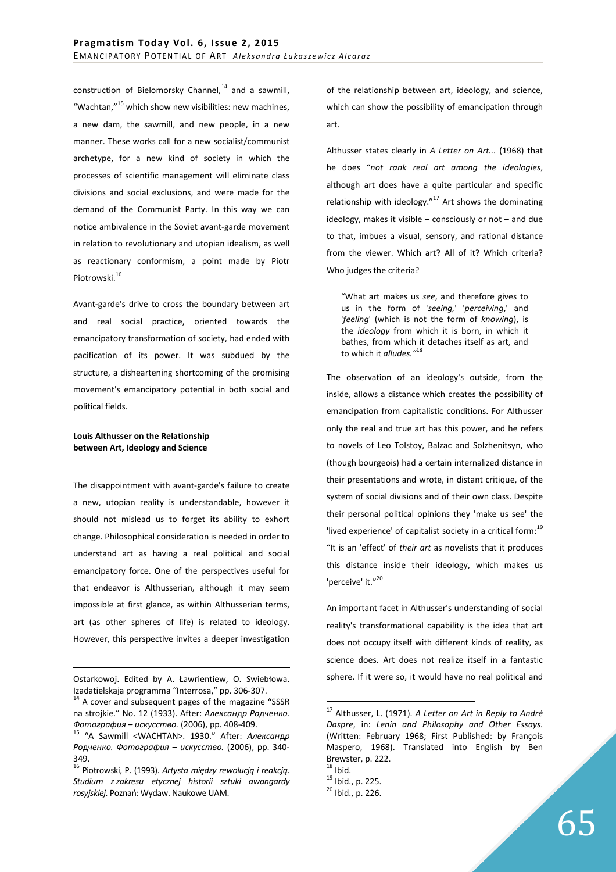construction of Bielomorsky Channel, $14$  and a sawmill, "Wachtan,"<sup>15</sup> which show new visibilities: new machines, a new dam, the sawmill, and new people, in a new manner. These works call for a new socialist/communist archetype, for a new kind of society in which the processes of scientific management will eliminate class divisions and social exclusions, and were made for the demand of the Communist Party. In this way we can notice ambivalence in the Soviet avant-garde movement in relation to revolutionary and utopian idealism, as well as reactionary conformism, a point made by Piotr Piotrowski.<sup>16</sup>

Avant-garde's drive to cross the boundary between art and real social practice, oriented towards the emancipatory transformation of society, had ended with pacification of its power. It was subdued by the structure, a disheartening shortcoming of the promising movement's emancipatory potential in both social and political fields.

# **Louis Althusser on the Relationship between Art, Ideology and Science**

The disappointment with avant-garde's failure to create a new, utopian reality is understandable, however it should not mislead us to forget its ability to exhort change. Philosophical consideration is needed in order to understand art as having a real political and social emancipatory force. One of the perspectives useful for that endeavor is Althusserian, although it may seem impossible at first glance, as within Althusserian terms, art (as other spheres of life) is related to ideology. However, this perspective invites a deeper investigation

<u>.</u>

of the relationship between art, ideology, and science, which can show the possibility of emancipation through art.

Althusser states clearly in *A Letter on Art...* (1968) that he does "*not rank real art among the ideologies*, although art does have a quite particular and specific relationship with ideology." $17$  Art shows the dominating ideology, makes it visible – consciously or not – and due to that, imbues a visual, sensory, and rational distance from the viewer. Which art? All of it? Which criteria? Who judges the criteria?

"What art makes us *see*, and therefore gives to us in the form of '*seeing,*' '*perceiving*,' and '*feeling*' (which is not the form of *knowing*), is the *ideology* from which it is born, in which it bathes, from which it detaches itself as art, and to which it *alludes."*<sup>18</sup>

The observation of an ideology's outside, from the inside, allows a distance which creates the possibility of emancipation from capitalistic conditions. For Althusser only the real and true art has this power, and he refers to novels of Leo Tolstoy, Balzac and Solzhenitsyn, who (though bourgeois) had a certain internalized distance in their presentations and wrote, in distant critique, of the system of social divisions and of their own class. Despite their personal political opinions they 'make us see' the 'lived experience' of capitalist society in a critical form:<sup>19</sup> "It is an 'effect' of *their art* as novelists that it produces this distance inside their ideology, which makes us 'perceive' it."<sup>20</sup>

An important facet in Althusser's understanding of social reality's transformational capability is the idea that art does not occupy itself with different kinds of reality, as science does. Art does not realize itself in a fantastic sphere. If it were so, it would have no real political and

Ostarkowoj. Edited by A. Ławrientiew, O. Swiebłowa. Izadatielskaja programma "Interrosa," pp. 306-307.

<sup>&</sup>lt;sup>14</sup> A cover and subsequent pages of the magazine "SSSR na strojkie." No. 12 (1933). After: *Алексан*д*р Ро*д*ченко. Фотография – искусство.* (2006), pp. 408-409.

<sup>15</sup> "A Sawmill <WACHTAN>. 1930." After: *Алексан*д*р Ро*д*ченко. Фотография – искусство.* (2006), pp. 340- 349.

<sup>16</sup> Piotrowski, P. (1993). *Artysta między rewolucją i reakcją. Studium z zakresu etycznej historii sztuki awangardy rosyjskiej.* Poznań: Wydaw. Naukowe UAM.

<sup>17</sup> Althusser, L. (1971). *A Letter on Art in Reply to André Daspre*, in: *Lenin and Philosophy and Other Essays.* (Written: February 1968; First Published: by François Maspero, 1968). Translated into English by Ben Brewster, p. 222.

 $18$  Ibid.

<sup>19</sup> Ibid., p. 225.

<sup>20</sup> Ibid., p. 226.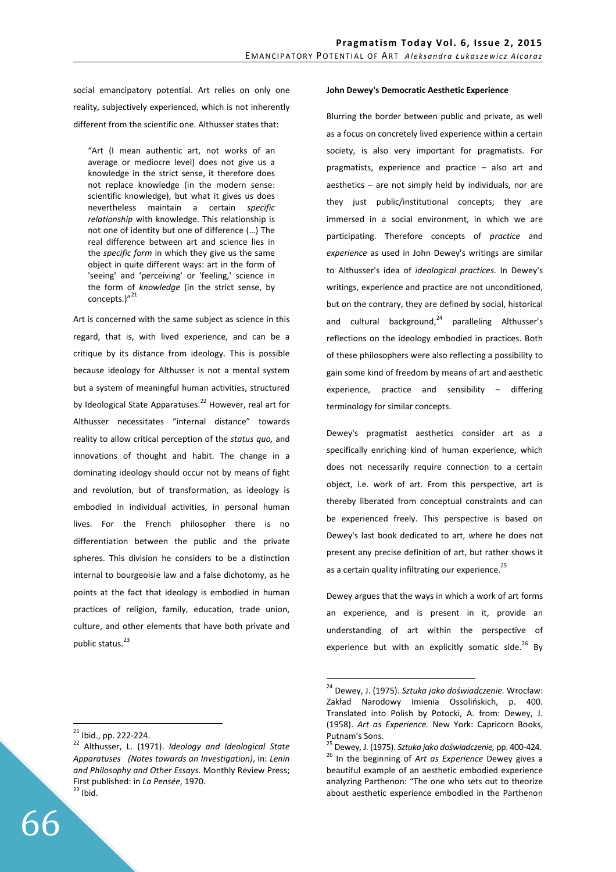social emancipatory potential. Art relies on only one reality, subjectively experienced, which is not inherently different from the scientific one. Althusser states that:

"Art (I mean authentic art, not works of an average or mediocre level) does not give us a knowledge in the strict sense, it therefore does not replace knowledge (in the modern sense: scientific knowledge), but what it gives us does nevertheless maintain a certain *specific relationship* with knowledge. This relationship is not one of identity but one of difference (…) The real difference between art and science lies in the *specific form* in which they give us the same object in quite different ways: art in the form of 'seeing' and 'perceiving' or 'feeling,' science in the form of *knowledge* (in the strict sense, by concepts.)"<sup>21</sup>

Art is concerned with the same subject as science in this regard, that is, with lived experience, and can be a critique by its distance from ideology. This is possible because ideology for Althusser is not a mental system but a system of meaningful human activities, structured by Ideological State Apparatuses.<sup>22</sup> However, real art for Althusser necessitates "internal distance" towards reality to allow critical perception of the *status quo,* and innovations of thought and habit. The change in a dominating ideology should occur not by means of fight and revolution, but of transformation, as ideology is embodied in individual activities, in personal human lives. For the French philosopher there is no differentiation between the public and the private spheres. This division he considers to be a distinction internal to bourgeoisie law and a false dichotomy, as he points at the fact that ideology is embodied in human practices of religion, family, education, trade union, culture, and other elements that have both private and public status.<sup>23</sup>

## **John Dewey's Democratic Aesthetic Experience**

Blurring the border between public and private, as well as a focus on concretely lived experience within a certain society, is also very important for pragmatists. For pragmatists, experience and practice – also art and aesthetics – are not simply held by individuals, nor are they just public/institutional concepts; they are immersed in a social environment, in which we are participating. Therefore concepts of *practice* and *experience* as used in John Dewey's writings are similar to Althusser's idea of *ideological practices*. In Dewey's writings, experience and practice are not unconditioned, but on the contrary, they are defined by social, historical and cultural background, $24$  paralleling Althusser's reflections on the ideology embodied in practices. Both of these philosophers were also reflecting a possibility to gain some kind of freedom by means of art and aesthetic experience, practice and sensibility – differing terminology for similar concepts.

Dewey's pragmatist aesthetics consider art as a specifically enriching kind of human experience, which does not necessarily require connection to a certain object, i.e. work of art. From this perspective, art is thereby liberated from conceptual constraints and can be experienced freely. This perspective is based on Dewey's last book dedicated to art, where he does not present any precise definition of art, but rather shows it as a certain quality infiltrating our experience.<sup>25</sup>

Dewey argues that the ways in which a work of art forms an experience, and is present in it, provide an understanding of art within the perspective of experience but with an explicitly somatic side. $^{26}$  By

 $\overline{a}$ 

 $21$  Ibid., pp. 222-224.

<sup>22</sup> Althusser, L. (1971). *Ideology and Ideological State Apparatuses (Notes towards an Investigation)*, in: *Lenin and Philosophy and Other Essays*. Monthly Review Press; First published: in *La Pensée*, 1970.  $23$  Ibid.

<sup>24</sup> Dewey, J. (1975). *Sztuka jako doświadczenie.* Wrocław: Zakład Narodowy Imienia Ossolińskich, p. 400. Translated into Polish by Potocki, A. from: Dewey, J. (1958). *Art as Experience.* New York: Capricorn Books, Putnam's Sons.

<sup>25</sup> Dewey, J. (1975). *Sztuka jako doświadczenie,* pp. 400-424. <sup>26</sup> In the beginning of *Art as Experience* Dewey gives a beautiful example of an aesthetic embodied experience analyzing Parthenon: "The one who sets out to theorize about aesthetic experience embodied in the Parthenon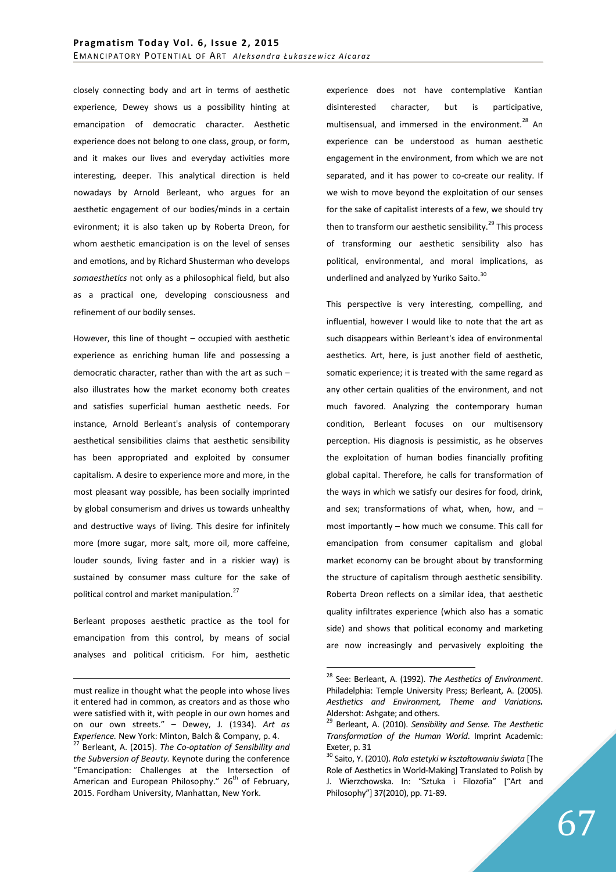closely connecting body and art in terms of aesthetic experience, Dewey shows us a possibility hinting at emancipation of democratic character. Aesthetic experience does not belong to one class, group, or form, and it makes our lives and everyday activities more interesting, deeper. This analytical direction is held nowadays by Arnold Berleant, who argues for an aesthetic engagement of our bodies/minds in a certain evironment; it is also taken up by Roberta Dreon, for whom aesthetic emancipation is on the level of senses and emotions, and by Richard Shusterman who develops *somaesthetics* not only as a philosophical field, but also as a practical one, developing consciousness and refinement of our bodily senses.

However, this line of thought – occupied with aesthetic experience as enriching human life and possessing a democratic character, rather than with the art as such – also illustrates how the market economy both creates and satisfies superficial human aesthetic needs. For instance, Arnold Berleant's analysis of contemporary aesthetical sensibilities claims that aesthetic sensibility has been appropriated and exploited by consumer capitalism. A desire to experience more and more, in the most pleasant way possible, has been socially imprinted by global consumerism and drives us towards unhealthy and destructive ways of living. This desire for infinitely more (more sugar, more salt, more oil, more caffeine, louder sounds, living faster and in a riskier way) is sustained by consumer mass culture for the sake of political control and market manipulation.<sup>27</sup>

Berleant proposes aesthetic practice as the tool for emancipation from this control, by means of social analyses and political criticism. For him, aesthetic experience does not have contemplative Kantian disinterested character, but is participative, multisensual, and immersed in the environment.<sup>28</sup> An experience can be understood as human aesthetic engagement in the environment, from which we are not separated, and it has power to co-create our reality. If we wish to move beyond the exploitation of our senses for the sake of capitalist interests of a few, we should try then to transform our aesthetic sensibility.<sup>29</sup> This process of transforming our aesthetic sensibility also has political, environmental, and moral implications, as underlined and analyzed by Yuriko Saito.<sup>30</sup>

This perspective is very interesting, compelling, and influential, however I would like to note that the art as such disappears within Berleant's idea of environmental aesthetics. Art, here, is just another field of aesthetic, somatic experience; it is treated with the same regard as any other certain qualities of the environment, and not much favored. Analyzing the contemporary human condition, Berleant focuses on our multisensory perception. His diagnosis is pessimistic, as he observes the exploitation of human bodies financially profiting global capital. Therefore, he calls for transformation of the ways in which we satisfy our desires for food, drink, and sex; transformations of what, when, how, and – most importantly – how much we consume. This call for emancipation from consumer capitalism and global market economy can be brought about by transforming the structure of capitalism through aesthetic sensibility. Roberta Dreon reflects on a similar idea, that aesthetic quality infiltrates experience (which also has a somatic side) and shows that political economy and marketing are now increasingly and pervasively exploiting the

<sup>&</sup>lt;u>.</u> must realize in thought what the people into whose lives it entered had in common, as creators and as those who were satisfied with it, with people in our own homes and on our own streets." – Dewey, J. (1934). *Art as Experience.* New York: Minton, Balch & Company, p. 4.

<sup>27</sup> Berleant, A. (2015). *The Co-optation of Sensibility and the Subversion of Beauty.* Keynote during the conference "Emancipation: Challenges at the Intersection of American and European Philosophy."  $26<sup>th</sup>$  of February, 2015. Fordham University, Manhattan, New York.

<sup>28</sup> See: Berleant, A. (1992). *The Aesthetics of Environment*. Philadelphia: Temple University Press; Berleant, A. (2005). *Aesthetics and Environment, Theme and Variations.* Aldershot: Ashgate; and others.

<sup>29</sup> Berleant, A. (2010). *Sensibility and Sense. The Aesthetic Transformation of the Human World*. Imprint Academic: Exeter, p. 31

<sup>30</sup> Saito, Y. (2010). *Rola estetyki w kształtowaniu świata* [The Role of Aesthetics in World-Making] Translated to Polish by J. Wierzchowska. In: "Sztuka i Filozofia" ["Art and Philosophy"] 37(2010), pp. 71-89.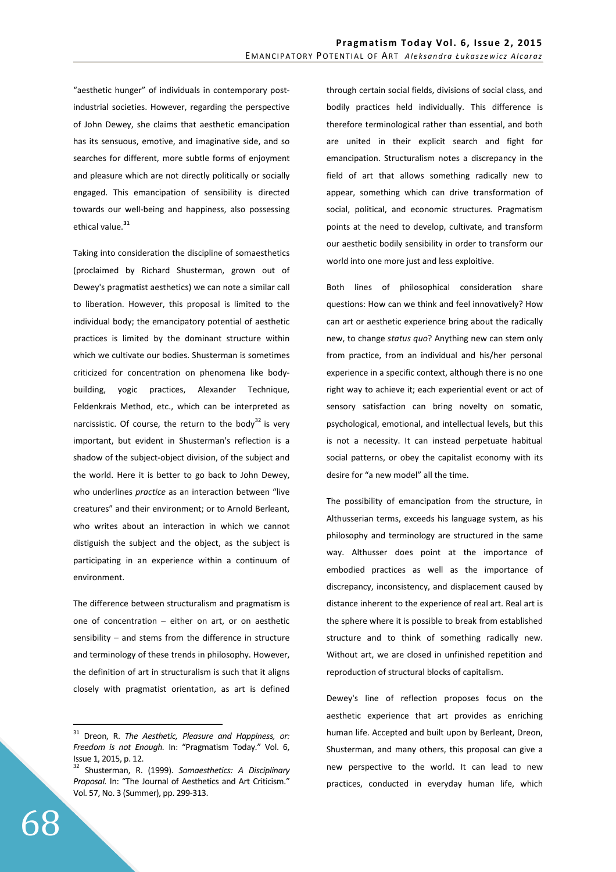"aesthetic hunger" of individuals in contemporary postindustrial societies. However, regarding the perspective of John Dewey, she claims that aesthetic emancipation has its sensuous, emotive, and imaginative side, and so searches for different, more subtle forms of enjoyment and pleasure which are not directly politically or socially engaged. This emancipation of sensibility is directed towards our well-being and happiness, also possessing ethical value.**<sup>31</sup>**

Taking into consideration the discipline of somaesthetics (proclaimed by Richard Shusterman, grown out of Dewey's pragmatist aesthetics) we can note a similar call to liberation. However, this proposal is limited to the individual body; the emancipatory potential of aesthetic practices is limited by the dominant structure within which we cultivate our bodies. Shusterman is sometimes criticized for concentration on phenomena like bodybuilding, yogic practices, Alexander Technique, Feldenkrais Method, etc., which can be interpreted as narcissistic. Of course, the return to the body $^{32}$  is very important, but evident in Shusterman's reflection is a shadow of the subject-object division, of the subject and the world. Here it is better to go back to John Dewey, who underlines *practice* as an interaction between "live creatures" and their environment; or to Arnold Berleant, who writes about an interaction in which we cannot distiguish the subject and the object, as the subject is participating in an experience within a continuum of environment.

The difference between structuralism and pragmatism is one of concentration – either on art, or on aesthetic sensibility – and stems from the difference in structure and terminology of these trends in philosophy. However, the definition of art in structuralism is such that it aligns closely with pragmatist orientation, as art is defined through certain social fields, divisions of social class, and bodily practices held individually. This difference is therefore terminological rather than essential, and both are united in their explicit search and fight for emancipation. Structuralism notes a discrepancy in the field of art that allows something radically new to appear, something which can drive transformation of social, political, and economic structures. Pragmatism points at the need to develop, cultivate, and transform our aesthetic bodily sensibility in order to transform our world into one more just and less exploitive.

Both lines of philosophical consideration share questions: How can we think and feel innovatively? How can art or aesthetic experience bring about the radically new, to change *status quo*? Anything new can stem only from practice, from an individual and his/her personal experience in a specific context, although there is no one right way to achieve it; each experiential event or act of sensory satisfaction can bring novelty on somatic, psychological, emotional, and intellectual levels, but this is not a necessity. It can instead perpetuate habitual social patterns, or obey the capitalist economy with its desire for "a new model" all the time.

The possibility of emancipation from the structure, in Althusserian terms, exceeds his language system, as his philosophy and terminology are structured in the same way. Althusser does point at the importance of embodied practices as well as the importance of discrepancy, inconsistency, and displacement caused by distance inherent to the experience of real art. Real art is the sphere where it is possible to break from established structure and to think of something radically new. Without art, we are closed in unfinished repetition and reproduction of structural blocks of capitalism.

Dewey's line of reflection proposes focus on the aesthetic experience that art provides as enriching human life. Accepted and built upon by Berleant, Dreon, Shusterman, and many others, this proposal can give a new perspective to the world. It can lead to new practices, conducted in everyday human life, which

<sup>31</sup> Dreon, R. *The Aesthetic, Pleasure and Happiness, or: Freedom is not Enough.* In: "Pragmatism Today." Vol. 6, Issue 1, 2015, p. 12.

<sup>32</sup> Shusterman, R. (1999). *Somaesthetics: A Disciplinary Proposal.* In: "The Journal of Aesthetics and Art Criticism." Vol. 57, No. 3 (Summer), pp. 299-313.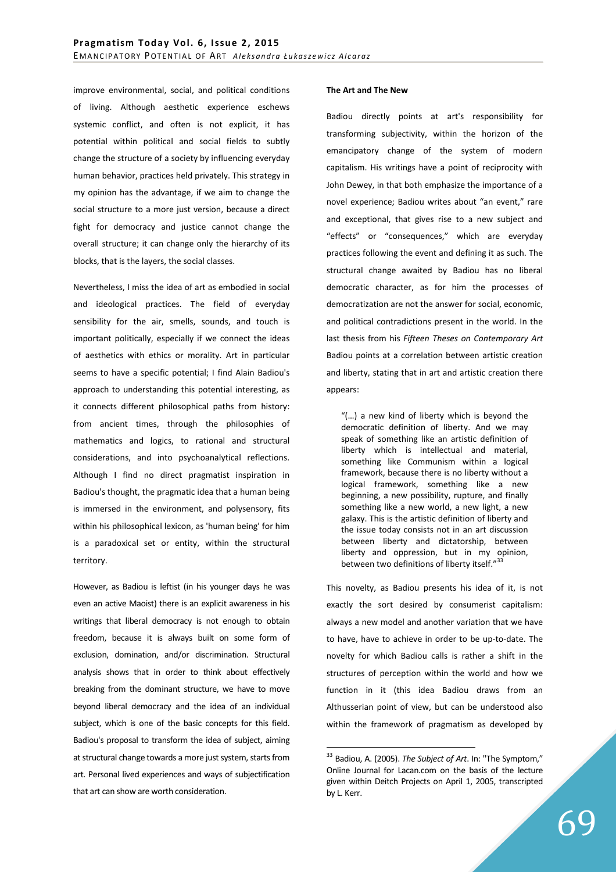improve environmental, social, and political conditions of living. Although aesthetic experience eschews systemic conflict, and often is not explicit, it has potential within political and social fields to subtly change the structure of a society by influencing everyday human behavior, practices held privately. This strategy in my opinion has the advantage, if we aim to change the social structure to a more just version, because a direct fight for democracy and justice cannot change the overall structure; it can change only the hierarchy of its blocks, that is the layers, the social classes.

Nevertheless, I miss the idea of art as embodied in social and ideological practices. The field of everyday sensibility for the air, smells, sounds, and touch is important politically, especially if we connect the ideas of aesthetics with ethics or morality. Art in particular seems to have a specific potential; I find Alain Badiou's approach to understanding this potential interesting, as it connects different philosophical paths from history: from ancient times, through the philosophies of mathematics and logics, to rational and structural considerations, and into psychoanalytical reflections. Although I find no direct pragmatist inspiration in Badiou's thought, the pragmatic idea that a human being is immersed in the environment, and polysensory, fits within his philosophical lexicon, as 'human being' for him is a paradoxical set or entity, within the structural territory.

However, as Badiou is leftist (in his younger days he was even an active Maoist) there is an explicit awareness in his writings that liberal democracy is not enough to obtain freedom, because it is always built on some form of exclusion, domination, and/or discrimination. Structural analysis shows that in order to think about effectively breaking from the dominant structure, we have to move beyond liberal democracy and the idea of an individual subject, which is one of the basic concepts for this field. Badiou's proposal to transform the idea of subject, aiming at structural change towards a more just system, starts from art. Personal lived experiences and ways of subjectification that art can show are worth consideration.

### **The Art and The New**

Badiou directly points at art's responsibility for transforming subjectivity, within the horizon of the emancipatory change of the system of modern capitalism. His writings have a point of reciprocity with John Dewey, in that both emphasize the importance of a novel experience; Badiou writes about "an event," rare and exceptional, that gives rise to a new subject and "effects" or "consequences," which are everyday practices following the event and defining it as such. The structural change awaited by Badiou has no liberal democratic character, as for him the processes of democratization are not the answer for social, economic, and political contradictions present in the world. In the last thesis from his *Fifteen Theses on Contemporary Art* Badiou points at a correlation between artistic creation and liberty, stating that in art and artistic creation there appears:

"(…) a new kind of liberty which is beyond the democratic definition of liberty. And we may speak of something like an artistic definition of liberty which is intellectual and material, something like Communism within a logical framework, because there is no liberty without a logical framework, something like a new beginning, a new possibility, rupture, and finally something like a new world, a new light, a new galaxy. This is the artistic definition of liberty and the issue today consists not in an art discussion between liberty and dictatorship, between liberty and oppression, but in my opinion, between two definitions of liberty itself."

This novelty, as Badiou presents his idea of it, is not exactly the sort desired by consumerist capitalism: always a new model and another variation that we have to have, have to achieve in order to be up-to-date. The novelty for which Badiou calls is rather a shift in the structures of perception within the world and how we function in it (this idea Badiou draws from an Althusserian point of view, but can be understood also within the framework of pragmatism as developed by

<sup>33</sup> Badiou, A. (2005). *The Subject of Art*. In: "The Symptom," Online Journal for Lacan.com on the basis of the lecture given within Deitch Projects on April 1, 2005, transcripted by L. Kerr.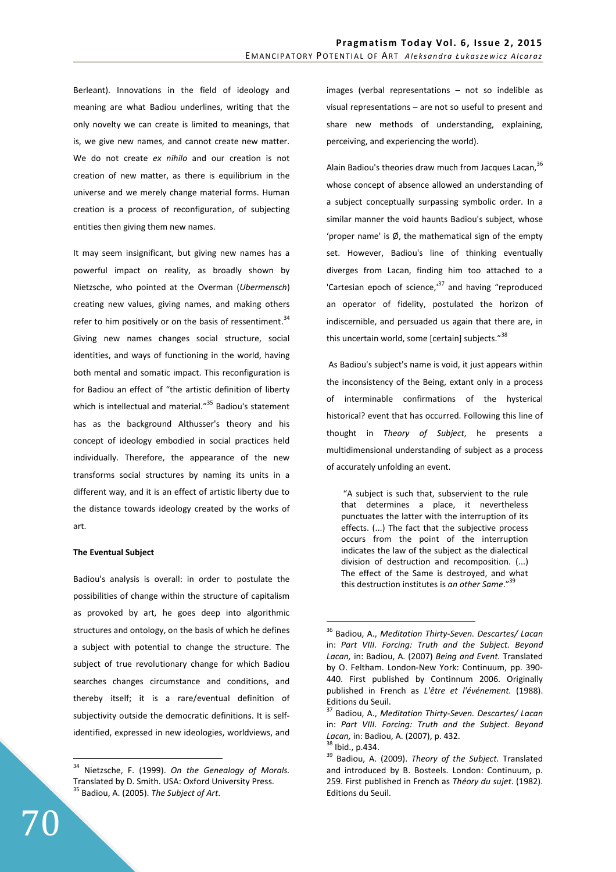Berleant). Innovations in the field of ideology and meaning are what Badiou underlines, writing that the only novelty we can create is limited to meanings, that is, we give new names, and cannot create new matter. We do not create *ex nihilo* and our creation is not creation of new matter, as there is equilibrium in the universe and we merely change material forms. Human creation is a process of reconfiguration, of subjecting entities then giving them new names.

It may seem insignificant, but giving new names has a powerful impact on reality, as broadly shown by Nietzsche, who pointed at the Overman (*Ubermensch*) creating new values, giving names, and making others refer to him positively or on the basis of ressentiment. $34$ Giving new names changes social structure, social identities, and ways of functioning in the world, having both mental and somatic impact. This reconfiguration is for Badiou an effect of "the artistic definition of liberty which is intellectual and material."<sup>35</sup> Badiou's statement has as the background Althusser's theory and his concept of ideology embodied in social practices held individually. Therefore, the appearance of the new transforms social structures by naming its units in a different way, and it is an effect of artistic liberty due to the distance towards ideology created by the works of art.

# **The Eventual Subject**

Badiou's analysis is overall: in order to postulate the possibilities of change within the structure of capitalism as provoked by art, he goes deep into algorithmic structures and ontology, on the basis of which he defines a subject with potential to change the structure. The subject of true revolutionary change for which Badiou searches changes circumstance and conditions, and thereby itself; it is a rare/eventual definition of subjectivity outside the democratic definitions. It is selfidentified, expressed in new ideologies, worldviews, and images (verbal representations – not so indelible as visual representations – are not so useful to present and share new methods of understanding, explaining, perceiving, and experiencing the world).

Alain Badiou's theories draw much from Jacques Lacan,<sup>36</sup> whose concept of absence allowed an understanding of a subject conceptually surpassing symbolic order. In a similar manner the void haunts Badiou's subject, whose 'proper name' is  $\phi$ , the mathematical sign of the empty set. However, Badiou's line of thinking eventually diverges from Lacan, finding him too attached to a 'Cartesian epoch of science, $137$  and having "reproduced an operator of fidelity, postulated the horizon of indiscernible, and persuaded us again that there are, in this uncertain world, some [certain] subjects."<sup>38</sup>

 As Badiou's subject's name is void, it just appears within the inconsistency of the Being, extant only in a process of interminable confirmations of the hysterical historical? event that has occurred. Following this line of thought in *Theory of Subject*, he presents a multidimensional understanding of subject as a process of accurately unfolding an event.

 "A subject is such that, subservient to the rule that determines a place, it nevertheless punctuates the latter with the interruption of its effects. (...) The fact that the subjective process occurs from the point of the interruption indicates the law of the subject as the dialectical division of destruction and recomposition. (...) The effect of the Same is destroyed, and what this destruction institutes is *an other Same*."<sup>39</sup>

 $\overline{a}$ 

<sup>34</sup> Nietzsche, F. (1999). *On the Genealogy of Morals.*  Translated by D. Smith. USA: Oxford University Press. <sup>35</sup> Badiou, A. (2005). *The Subject of Art*.

<sup>36</sup> Badiou, A., *Meditation Thirty-Seven. Descartes/ Lacan* in: *Part VIII. Forcing: Truth and the Subject. Beyond Lacan,* in: Badiou, A. (2007) *Being and Event.* Translated by O. Feltham. London-New York: Continuum, pp. 390- 440. First published by Continnum 2006. Originally published in French as *L'être et l'événement.* (1988). Editions du Seuil.

<sup>37</sup> Badiou, A., *Meditation Thirty-Seven. Descartes/ Lacan* in: *Part VIII. Forcing: Truth and the Subject. Beyond Lacan,* in: Badiou, A. (2007), p. 432.

 $38$  Ibid., p.434.

<sup>39</sup> Badiou, A. (2009). *Theory of the Subject.* Translated and introduced by B. Bosteels. London: Continuum, p. 259. First published in French as *Théory du sujet*. (1982). Editions du Seuil.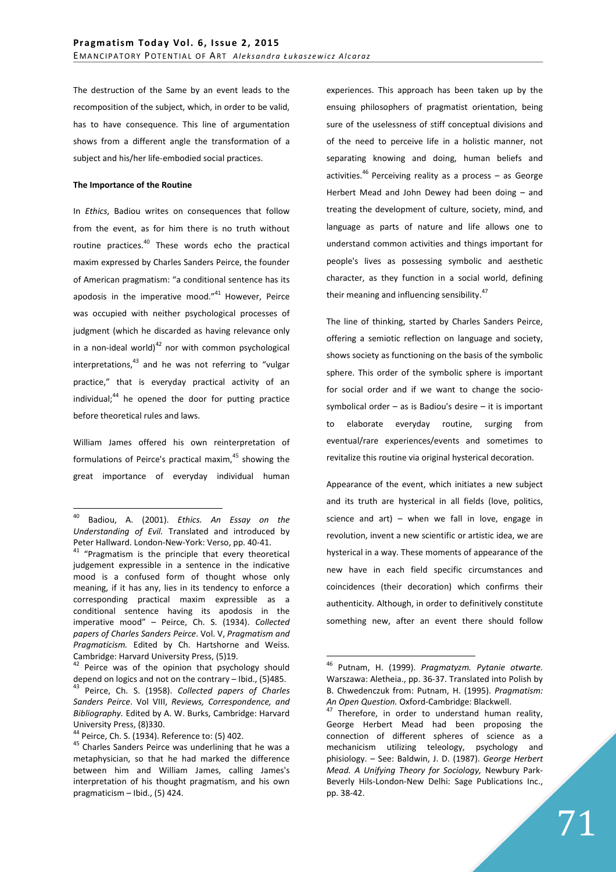The destruction of the Same by an event leads to the recomposition of the subject, which, in order to be valid, has to have consequence. This line of argumentation shows from a different angle the transformation of a subject and his/her life-embodied social practices.

## **The Importance of the Routine**

In *Ethics*, Badiou writes on consequences that follow from the event, as for him there is no truth without routine practices.<sup>40</sup> These words echo the practical maxim expressed by Charles Sanders Peirce, the founder of American pragmatism: "a conditional sentence has its apodosis in the imperative mood." $41$  However, Peirce was occupied with neither psychological processes of judgment (which he discarded as having relevance only in a non-ideal world) $^{42}$  nor with common psychological interpretations, $43$  and he was not referring to "vulgar practice," that is everyday practical activity of an individual; $44$  he opened the door for putting practice before theoretical rules and laws.

William James offered his own reinterpretation of formulations of Peirce's practical maxim, $45$  showing the great importance of everyday individual human

 $\overline{a}$ 

experiences. This approach has been taken up by the ensuing philosophers of pragmatist orientation, being sure of the uselessness of stiff conceptual divisions and of the need to perceive life in a holistic manner, not separating knowing and doing, human beliefs and activities.<sup>46</sup> Perceiving reality as a process – as George Herbert Mead and John Dewey had been doing – and treating the development of culture, society, mind, and language as parts of nature and life allows one to understand common activities and things important for people's lives as possessing symbolic and aesthetic character, as they function in a social world, defining their meaning and influencing sensibility. $47$ 

The line of thinking, started by Charles Sanders Peirce, offering a semiotic reflection on language and society, shows society as functioning on the basis of the symbolic sphere. This order of the symbolic sphere is important for social order and if we want to change the sociosymbolical order  $-$  as is Badiou's desire  $-$  it is important to elaborate everyday routine, surging from eventual/rare experiences/events and sometimes to revitalize this routine via original hysterical decoration.

Appearance of the event, which initiates a new subject and its truth are hysterical in all fields (love, politics, science and art) – when we fall in love, engage in revolution, invent a new scientific or artistic idea, we are hysterical in a way. These moments of appearance of the new have in each field specific circumstances and coincidences (their decoration) which confirms their authenticity. Although, in order to definitively constitute something new, after an event there should follow

<sup>40</sup> Badiou, A. (2001). *Ethics. An Essay on the Understanding of Evil.* Translated and introduced by Peter Hallward. London-New-York: Verso, pp. 40-41.

 $41$  "Pragmatism is the principle that every theoretical judgement expressible in a sentence in the indicative mood is a confused form of thought whose only meaning, if it has any, lies in its tendency to enforce a corresponding practical maxim expressible as a conditional sentence having its apodosis in the imperative mood" – Peirce, Ch. S. (1934). *Collected papers of Charles Sanders Peirce*. Vol. V, *Pragmatism and Pragmaticism.* Edited by Ch. Hartshorne and Weiss. Cambridge: Harvard University Press, (5)19.

<sup>&</sup>lt;sup>42</sup> Peirce was of the opinion that psychology should depend on logics and not on the contrary – Ibid., (5)485.

<sup>43</sup> Peirce, Ch. S. (1958). *Collected papers of Charles Sanders Peirce*. Vol VIII, *Reviews, Correspondence, and Bibliography.* Edited by A. W. Burks, Cambridge: Harvard University Press, (8)330.

<sup>44</sup> Peirce, Ch. S. (1934). Reference to: (5) 402.

 $45$  Charles Sanders Peirce was underlining that he was a metaphysician, so that he had marked the difference between him and William James, calling James's interpretation of his thought pragmatism, and his own pragmaticism – Ibid., (5) 424.

<sup>46</sup> Putnam, H. (1999). *Pragmatyzm. Pytanie otwarte.* Warszawa: Aletheia., pp. 36-37. Translated into Polish by B. Chwedenczuk from: Putnam, H. (1995). *Pragmatism: An Open Question.* Oxford-Cambridge: Blackwell.

An Open Guestion, Chief Landscher Therefore, in order to understand human reality, George Herbert Mead had been proposing the connection of different spheres of science as a mechanicism utilizing teleology, psychology and phisiology. – See: Baldwin, J. D. (1987). *George Herbert Mead. A Unifying Theory for Sociology,* Newbury Park-Beverly Hils-London-New Delhi: Sage Publications Inc., pp. 38-42.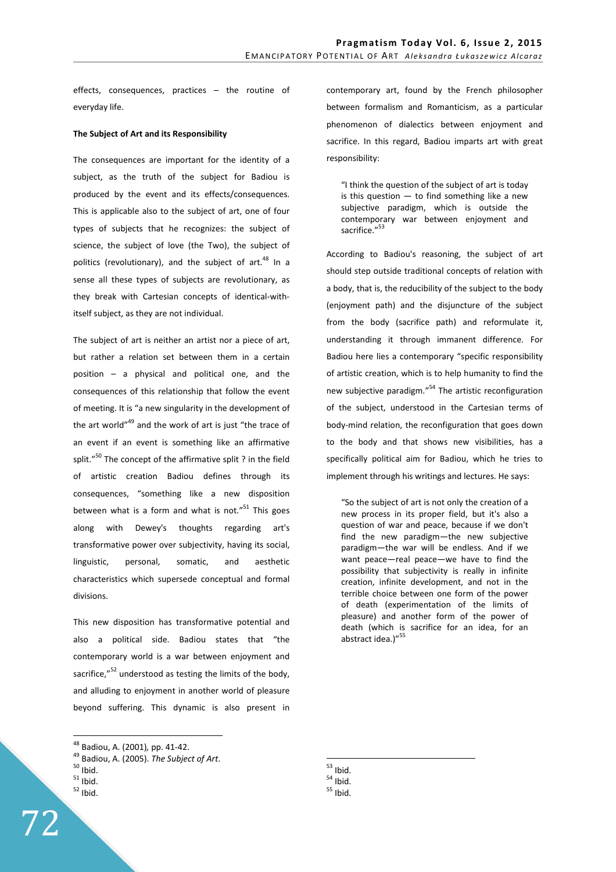effects, consequences, practices – the routine of everyday life.

## **The Subject of Art and its Responsibility**

The consequences are important for the identity of a subject, as the truth of the subject for Badiou is produced by the event and its effects/consequences. This is applicable also to the subject of art, one of four types of subjects that he recognizes: the subject of science, the subject of love (the Two), the subject of politics (revolutionary), and the subject of  $art.^{48}$  In a sense all these types of subjects are revolutionary, as they break with Cartesian concepts of identical-withitself subject, as they are not individual.

The subject of art is neither an artist nor a piece of art, but rather a relation set between them in a certain position – a physical and political one, and the consequences of this relationship that follow the event of meeting. It is "a new singularity in the development of the art world"<sup>49</sup> and the work of art is just "the trace of an event if an event is something like an affirmative split."<sup>50</sup> The concept of the affirmative split ? in the field of artistic creation Badiou defines through its consequences, "something like a new disposition between what is a form and what is not. $"$ <sup>51</sup> This goes along with Dewey's thoughts regarding art's transformative power over subjectivity, having its social, linguistic, personal, somatic, and aesthetic characteristics which supersede conceptual and formal divisions.

This new disposition has transformative potential and also a political side. Badiou states that "the contemporary world is a war between enjoyment and sacrifice,"<sup>52</sup> understood as testing the limits of the body, and alluding to enjoyment in another world of pleasure beyond suffering. This dynamic is also present in

 $\overline{a}$ 

contemporary art, found by the French philosopher between formalism and Romanticism, as a particular phenomenon of dialectics between enjoyment and sacrifice. In this regard, Badiou imparts art with great responsibility:

> "I think the question of the subject of art is today is this question  $-$  to find something like a new subjective paradigm, which is outside the contemporary war between enjoyment and sacrifice."<sup>53</sup>

According to Badiou's reasoning, the subject of art should step outside traditional concepts of relation with a body, that is, the reducibility of the subject to the body (enjoyment path) and the disjuncture of the subject from the body (sacrifice path) and reformulate it, understanding it through immanent difference. For Badiou here lies a contemporary "specific responsibility of artistic creation, which is to help humanity to find the new subjective paradigm."<sup>54</sup> The artistic reconfiguration of the subject, understood in the Cartesian terms of body-mind relation, the reconfiguration that goes down to the body and that shows new visibilities, has a specifically political aim for Badiou, which he tries to implement through his writings and lectures. He says:

"So the subject of art is not only the creation of a new process in its proper field, but it's also a question of war and peace, because if we don't find the new paradigm—the new subjective paradigm—the war will be endless. And if we want peace—real peace—we have to find the possibility that subjectivity is really in infinite creation, infinite development, and not in the terrible choice between one form of the power of death (experimentation of the limits of pleasure) and another form of the power of death (which is sacrifice for an idea, for an abstract idea.)"<sup>55</sup>

 $^{53}$  Ibid.

<sup>48</sup> Badiou, A. (2001)*,* pp. 41-42.

<sup>49</sup> Badiou, A. (2005). *The Subject of Art*.

 $50$  Ibid.

 $51$  Ibid.

 $52$  Ibid.

 $54$  Ibid.

 $55$  Ibid.